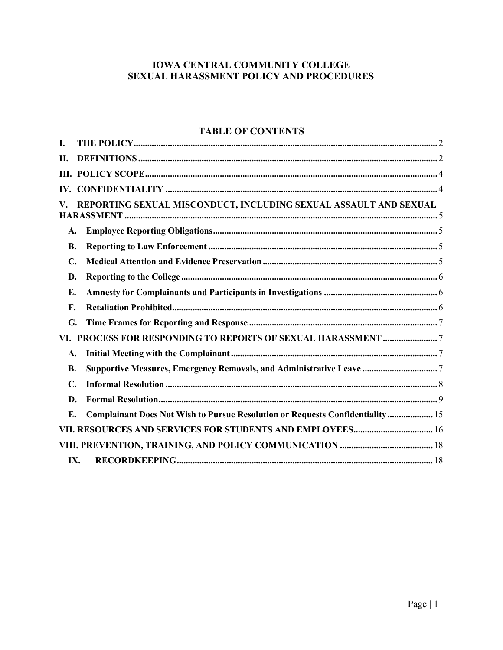### IOWA CENTRAL COMMUNITY COLLEGE SEXUAL HARASSMENT POLICY AND PROCEDURES

# **TABLE OF CONTENTS**

| I.                                                           |                                                                               |  |
|--------------------------------------------------------------|-------------------------------------------------------------------------------|--|
| П.                                                           |                                                                               |  |
|                                                              |                                                                               |  |
|                                                              |                                                                               |  |
| V.                                                           | REPORTING SEXUAL MISCONDUCT, INCLUDING SEXUAL ASSAULT AND SEXUAL              |  |
| A.                                                           |                                                                               |  |
| <b>B.</b>                                                    |                                                                               |  |
| $\mathbf{C}$ .                                               |                                                                               |  |
| D.                                                           |                                                                               |  |
| Е.                                                           |                                                                               |  |
| F.                                                           |                                                                               |  |
| G.                                                           |                                                                               |  |
| VI. PROCESS FOR RESPONDING TO REPORTS OF SEXUAL HARASSMENT 7 |                                                                               |  |
| A.                                                           |                                                                               |  |
| <b>B.</b>                                                    | Supportive Measures, Emergency Removals, and Administrative Leave  7          |  |
| $\mathbf{C}$ .                                               |                                                                               |  |
| D.                                                           |                                                                               |  |
| $\mathbf{E}$ .                                               | Complainant Does Not Wish to Pursue Resolution or Requests Confidentiality 15 |  |
|                                                              | VII. RESOURCES AND SERVICES FOR STUDENTS AND EMPLOYEES 16                     |  |
|                                                              |                                                                               |  |
|                                                              | IX.                                                                           |  |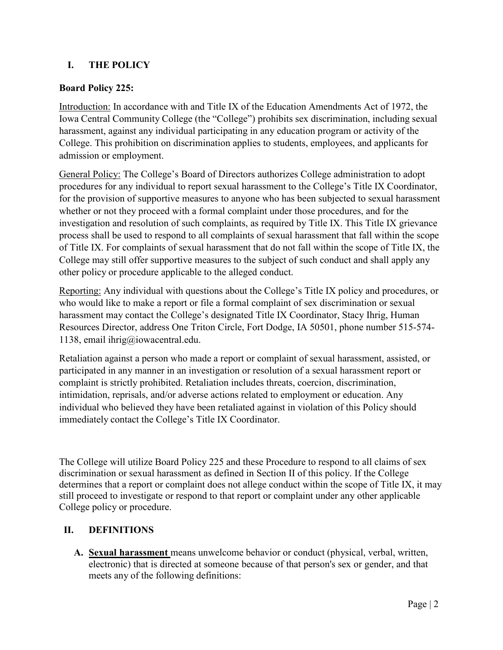### <span id="page-1-0"></span>**I. THE POLICY**

#### **Board Policy 225:**

Introduction: In accordance with and Title IX of the Education Amendments Act of 1972, the Iowa Central Community College (the "College") prohibits sex discrimination, including sexual harassment, against any individual participating in any education program or activity of the College. This prohibition on discrimination applies to students, employees, and applicants for admission or employment.

General Policy: The College's Board of Directors authorizes College administration to adopt procedures for any individual to report sexual harassment to the College's Title IX Coordinator, for the provision of supportive measures to anyone who has been subjected to sexual harassment whether or not they proceed with a formal complaint under those procedures, and for the investigation and resolution of such complaints, as required by Title IX. This Title IX grievance process shall be used to respond to all complaints of sexual harassment that fall within the scope of Title IX. For complaints of sexual harassment that do not fall within the scope of Title IX, the College may still offer supportive measures to the subject of such conduct and shall apply any other policy or procedure applicable to the alleged conduct.

Reporting: Any individual with questions about the College's Title IX policy and procedures, or who would like to make a report or file a formal complaint of sex discrimination or sexual harassment may contact the College's designated Title IX Coordinator, Stacy Ihrig, Human Resources Director, address One Triton Circle, Fort Dodge, IA 50501, phone number 515-574- 1138, email [ihrig@iowacentral.edu.](mailto:ihrig@iowacentral.edu)

Retaliation against a person who made a report or complaint of sexual harassment, assisted, or participated in any manner in an investigation or resolution of a sexual harassment report or complaint is strictly prohibited. Retaliation includes threats, coercion, discrimination, intimidation, reprisals, and/or adverse actions related to employment or education. Any individual who believed they have been retaliated against in violation of this Policy should immediately contact the College's Title IX Coordinator.

The College will utilize Board Policy 225 and these Procedure to respond to all claims of sex discrimination or sexual harassment as defined in Section II of this policy. If the College determines that a report or complaint does not allege conduct within the scope of Title IX, it may still proceed to investigate or respond to that report or complaint under any other applicable College policy or procedure.

### <span id="page-1-1"></span>**II. DEFINITIONS**

**A. Sexual harassment** means unwelcome behavior or conduct (physical, verbal, written, electronic) that is directed at someone because of that person's sex or gender, and that meets any of the following definitions: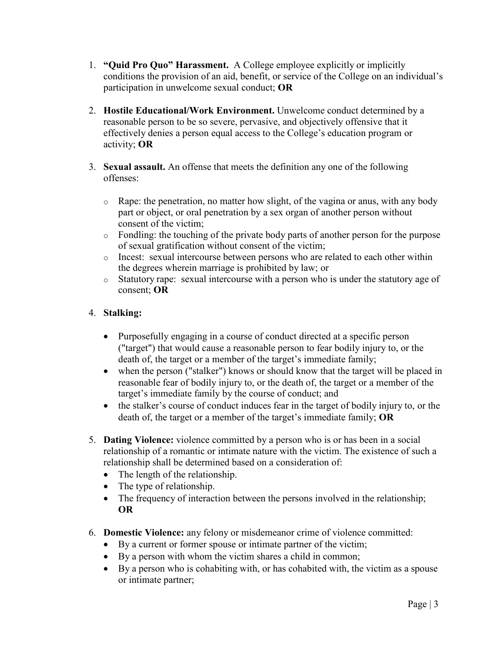- 1. **"Quid Pro Quo" Harassment.** A College employee explicitly or implicitly conditions the provision of an aid, benefit, or service of the College on an individual's participation in unwelcome sexual conduct; **OR**
- 2. **Hostile Educational/Work Environment.** Unwelcome conduct determined by a reasonable person to be so severe, pervasive, and objectively offensive that it effectively denies a person equal access to the College's education program or activity; **OR**
- 3. **Sexual assault.** An offense that meets the definition any one of the following offenses:
	- o Rape: the penetration, no matter how slight, of the vagina or anus, with any body part or object, or oral penetration by a sex organ of another person without consent of the victim;
	- o Fondling: the touching of the private body parts of another person for the purpose of sexual gratification without consent of the victim;
	- o Incest: sexual intercourse between persons who are related to each other within the degrees wherein marriage is prohibited by law; or
	- o Statutory rape: sexual intercourse with a person who is under the statutory age of consent; **OR**

### 4. **Stalking:**

- Purposefully engaging in a course of conduct directed at a specific person ("target") that would cause a reasonable person to fear bodily injury to, or the death of, the target or a member of the target's immediate family;
- when the person ("stalker") knows or should know that the target will be placed in reasonable fear of bodily injury to, or the death of, the target or a member of the target's immediate family by the course of conduct; and
- the stalker's course of conduct induces fear in the target of bodily injury to, or the death of, the target or a member of the target's immediate family; **OR**
- 5. **Dating Violence:** violence committed by a person who is or has been in a social relationship of a romantic or intimate nature with the victim. The existence of such a relationship shall be determined based on a consideration of:
	- The length of the relationship.
	- The type of relationship.
	- The frequency of interaction between the persons involved in the relationship; **OR**
- 6. **Domestic Violence:** any felony or misdemeanor crime of violence committed:
	- By a current or former spouse or intimate partner of the victim;
	- By a person with whom the victim shares a child in common;
	- By a person who is cohabiting with, or has cohabited with, the victim as a spouse or intimate partner;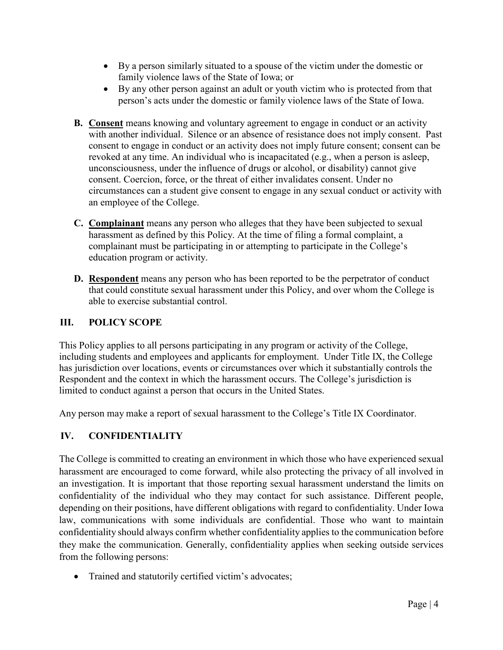- By a person similarly situated to a spouse of the victim under the domestic or family violence laws of the State of Iowa; or
- By any other person against an adult or youth victim who is protected from that person's acts under the domestic or family violence laws of the State of Iowa.
- **B. Consent** means knowing and voluntary agreement to engage in conduct or an activity with another individual. Silence or an absence of resistance does not imply consent. Past consent to engage in conduct or an activity does not imply future consent; consent can be revoked at any time. An individual who is incapacitated (e.g., when a person is asleep, unconsciousness, under the influence of drugs or alcohol, or disability) cannot give consent. Coercion, force, or the threat of either invalidates consent. Under no circumstances can a student give consent to engage in any sexual conduct or activity with an employee of the College.
- **C. Complainant** means any person who alleges that they have been subjected to sexual harassment as defined by this Policy. At the time of filing a formal complaint, a complainant must be participating in or attempting to participate in the College's education program or activity.
- **D. Respondent** means any person who has been reported to be the perpetrator of conduct that could constitute sexual harassment under this Policy, and over whom the College is able to exercise substantial control.

### <span id="page-3-0"></span>**III. POLICY SCOPE**

This Policy applies to all persons participating in any program or activity of the College, including students and employees and applicants for employment. Under Title IX, the College has jurisdiction over locations, events or circumstances over which it substantially controls the Respondent and the context in which the harassment occurs. The College's jurisdiction is limited to conduct against a person that occurs in the United States.

Any person may make a report of sexual harassment to the College's Title IX Coordinator.

### <span id="page-3-1"></span>**IV. CONFIDENTIALITY**

The College is committed to creating an environment in which those who have experienced sexual harassment are encouraged to come forward, while also protecting the privacy of all involved in an investigation. It is important that those reporting sexual harassment understand the limits on confidentiality of the individual who they may contact for such assistance. Different people, depending on their positions, have different obligations with regard to confidentiality. Under Iowa law, communications with some individuals are confidential. Those who want to maintain confidentiality should always confirm whether confidentiality applies to the communication before they make the communication. Generally, confidentiality applies when seeking outside services from the following persons:

• Trained and statutorily certified victim's advocates;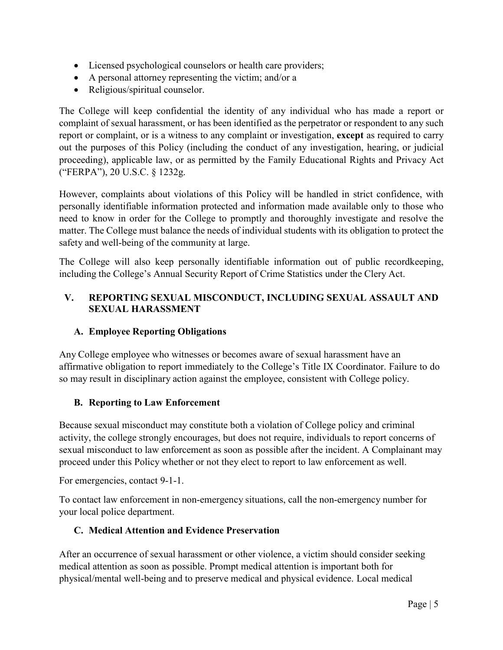- Licensed psychological counselors or health care providers;
- A personal attorney representing the victim; and/or a
- Religious/spiritual counselor.

The College will keep confidential the identity of any individual who has made a report or complaint of sexual harassment, or has been identified as the perpetrator or respondent to any such report or complaint, or is a witness to any complaint or investigation, **except** as required to carry out the purposes of this Policy (including the conduct of any investigation, hearing, or judicial proceeding), applicable law, or as permitted by the Family Educational Rights and Privacy Act ("FERPA"), 20 U.S.C. § 1232g.

However, complaints about violations of this Policy will be handled in strict confidence, with personally identifiable information protected and information made available only to those who need to know in order for the College to promptly and thoroughly investigate and resolve the matter. The College must balance the needs of individual students with its obligation to protect the safety and well-being of the community at large.

The College will also keep personally identifiable information out of public recordkeeping, including the College's Annual Security Report of Crime Statistics under the Clery Act.

## <span id="page-4-0"></span>**V. REPORTING SEXUAL MISCONDUCT, INCLUDING SEXUAL ASSAULT AND SEXUAL HARASSMENT**

## **A. Employee Reporting Obligations**

<span id="page-4-1"></span>Any College employee who witnesses or becomes aware of sexual harassment have an affirmative obligation to report immediately to the College's Title IX Coordinator. Failure to do so may result in disciplinary action against the employee, consistent with College policy.

## **B. Reporting to Law Enforcement**

<span id="page-4-2"></span>Because sexual misconduct may constitute both a violation of College policy and criminal activity, the college strongly encourages, but does not require, individuals to report concerns of sexual misconduct to law enforcement as soon as possible after the incident. A Complainant may proceed under this Policy whether or not they elect to report to law enforcement as well.

For emergencies, contact 9-1-1.

<span id="page-4-3"></span>To contact law enforcement in non-emergency situations, call the non-emergency number for your local police department.

## **C. Medical Attention and Evidence Preservation**

After an occurrence of sexual harassment or other violence, a victim should consider seeking medical attention as soon as possible. Prompt medical attention is important both for physical/mental well-being and to preserve medical and physical evidence. Local medical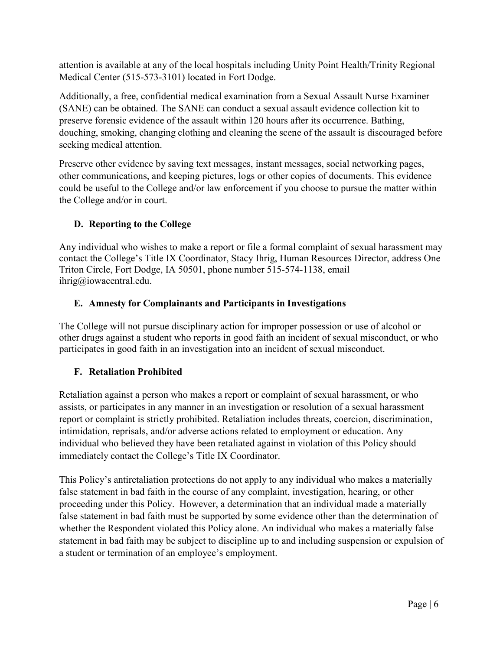attention is available at any of the local hospitals including Unity Point Health/Trinity Regional Medical Center (515-573-3101) located in Fort Dodge.

Additionally, a free, confidential medical examination from a Sexual Assault Nurse Examiner (SANE) can be obtained. The SANE can conduct a sexual assault evidence collection kit to preserve forensic evidence of the assault within 120 hours after its occurrence. Bathing, douching, smoking, changing clothing and cleaning the scene of the assault is discouraged before seeking medical attention.

Preserve other evidence by saving text messages, instant messages, social networking pages, other communications, and keeping pictures, logs or other copies of documents. This evidence could be useful to the College and/or law enforcement if you choose to pursue the matter within the College and/or in court.

# **D. Reporting to the College**

<span id="page-5-0"></span>Any individual who wishes to make a report or file a formal complaint of sexual harassment may contact the College's Title IX Coordinator, Stacy Ihrig, Human Resources Director, address One Triton Circle, Fort Dodge, IA 50501, phone number 515-574-1138, email [ihrig@iowacentral.edu.](mailto:ihrig@iowacentral.edu)

## **E. Amnesty for Complainants and Participants in Investigations**

<span id="page-5-1"></span>The College will not pursue disciplinary action for improper possession or use of alcohol or other drugs against a student who reports in good faith an incident of sexual misconduct, or who participates in good faith in an investigation into an incident of sexual misconduct.

## **F. Retaliation Prohibited**

<span id="page-5-2"></span>Retaliation against a person who makes a report or complaint of sexual harassment, or who assists, or participates in any manner in an investigation or resolution of a sexual harassment report or complaint is strictly prohibited. Retaliation includes threats, coercion, discrimination, intimidation, reprisals, and/or adverse actions related to employment or education. Any individual who believed they have been retaliated against in violation of this Policy should immediately contact the College's Title IX Coordinator.

This Policy's antiretaliation protections do not apply to any individual who makes a materially false statement in bad faith in the course of any complaint, investigation, hearing, or other proceeding under this Policy. However, a determination that an individual made a materially false statement in bad faith must be supported by some evidence other than the determination of whether the Respondent violated this Policy alone. An individual who makes a materially false statement in bad faith may be subject to discipline up to and including suspension or expulsion of a student or termination of an employee's employment.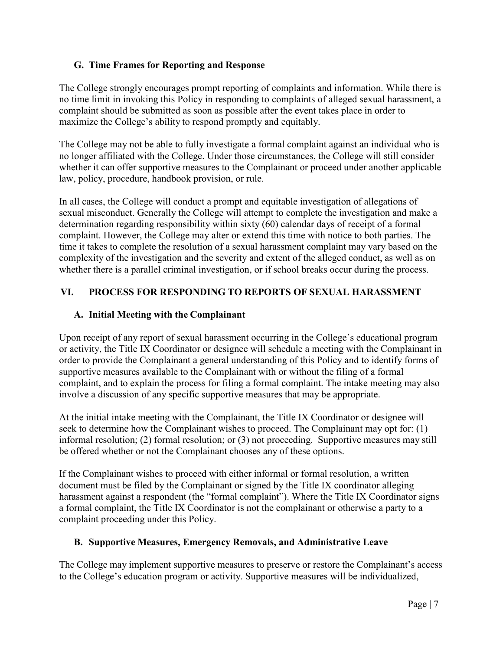### <span id="page-6-0"></span>**G. Time Frames for Reporting and Response**

The College strongly encourages prompt reporting of complaints and information. While there is no time limit in invoking this Policy in responding to complaints of alleged sexual harassment, a complaint should be submitted as soon as possible after the event takes place in order to maximize the College's ability to respond promptly and equitably.

The College may not be able to fully investigate a formal complaint against an individual who is no longer affiliated with the College. Under those circumstances, the College will still consider whether it can offer supportive measures to the Complainant or proceed under another applicable law, policy, procedure, handbook provision, or rule.

In all cases, the College will conduct a prompt and equitable investigation of allegations of sexual misconduct. Generally the College will attempt to complete the investigation and make a determination regarding responsibility within sixty (60) calendar days of receipt of a formal complaint. However, the College may alter or extend this time with notice to both parties. The time it takes to complete the resolution of a sexual harassment complaint may vary based on the complexity of the investigation and the severity and extent of the alleged conduct, as well as on whether there is a parallel criminal investigation, or if school breaks occur during the process.

## <span id="page-6-2"></span><span id="page-6-1"></span>**VI. PROCESS FOR RESPONDING TO REPORTS OF SEXUAL HARASSMENT**

### **A. Initial Meeting with the Complainant**

Upon receipt of any report of sexual harassment occurring in the College's educational program or activity, the Title IX Coordinator or designee will schedule a meeting with the Complainant in order to provide the Complainant a general understanding of this Policy and to identify forms of supportive measures available to the Complainant with or without the filing of a formal complaint, and to explain the process for filing a formal complaint. The intake meeting may also involve a discussion of any specific supportive measures that may be appropriate.

At the initial intake meeting with the Complainant, the Title IX Coordinator or designee will seek to determine how the Complainant wishes to proceed. The Complainant may opt for: (1) informal resolution; (2) formal resolution; or (3) not proceeding. Supportive measures may still be offered whether or not the Complainant chooses any of these options.

If the Complainant wishes to proceed with either informal or formal resolution, a written document must be filed by the Complainant or signed by the Title IX coordinator alleging harassment against a respondent (the "formal complaint"). Where the Title IX Coordinator signs a formal complaint, the Title IX Coordinator is not the complainant or otherwise a party to a complaint proceeding under this Policy.

### **B. Supportive Measures, Emergency Removals, and Administrative Leave**

<span id="page-6-3"></span>The College may implement supportive measures to preserve or restore the Complainant's access to the College's education program or activity. Supportive measures will be individualized,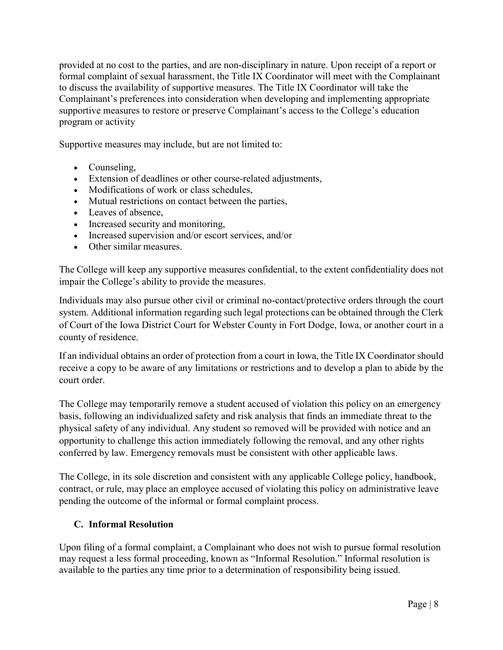provided at no cost to the parties, and are non-disciplinary in nature. Upon receipt of a report or formal complaint of sexual harassment, the Title IX Coordinator will meet with the Complainant to discuss the availability of supportive measures. The Title IX Coordinator will take the Complainant's preferences into consideration when developing and implementing appropriate supportive measures to restore or preserve Complainant's access to the College's education program or activity

Supportive measures may include, but are not limited to:

- Counseling,
- Extension of deadlines or other course-related adjustments,
- Modifications of work or class schedules,
- Mutual restrictions on contact between the parties,
- Leaves of absence,
- Increased security and monitoring,
- Increased supervision and/or escort services, and/or
- Other similar measures.

The College will keep any supportive measures confidential, to the extent confidentiality does not impair the College's ability to provide the measures.

Individuals may also pursue other civil or criminal no-contact/protective orders through the court system. Additional information regarding such legal protections can be obtained through the Clerk of Court of the Iowa District Court for Webster County in Fort Dodge, Iowa, or another court in a county of residence.

If an individual obtains an order of protection from a court in Iowa, the Title IX Coordinator should receive a copy to be aware of any limitations or restrictions and to develop a plan to abide by the court order.

The College may temporarily remove a student accused of violation this policy on an emergency basis, following an individualized safety and risk analysis that finds an immediate threat to the physical safety of any individual. Any student so removed will be provided with notice and an opportunity to challenge this action immediately following the removal, and any other rights conferred by law. Emergency removals must be consistent with other applicable laws.

The College, in its sole discretion and consistent with any applicable College policy, handbook, contract, or rule, may place an employee accused of violating this policy on administrative leave pending the outcome of the informal or formal complaint process.

### **C. Informal Resolution**

<span id="page-7-0"></span>Upon filing of a formal complaint, a Complainant who does not wish to pursue formal resolution may request a less formal proceeding, known as "Informal Resolution." Informal resolution is available to the parties any time prior to a determination of responsibility being issued.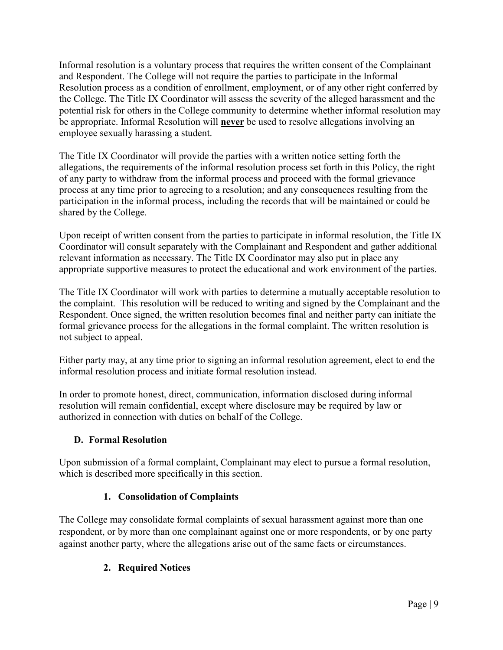Informal resolution is a voluntary process that requires the written consent of the Complainant and Respondent. The College will not require the parties to participate in the Informal Resolution process as a condition of enrollment, employment, or of any other right conferred by the College. The Title IX Coordinator will assess the severity of the alleged harassment and the potential risk for others in the College community to determine whether informal resolution may be appropriate. Informal Resolution will **never** be used to resolve allegations involving an employee sexually harassing a student.

The Title IX Coordinator will provide the parties with a written notice setting forth the allegations, the requirements of the informal resolution process set forth in this Policy, the right of any party to withdraw from the informal process and proceed with the formal grievance process at any time prior to agreeing to a resolution; and any consequences resulting from the participation in the informal process, including the records that will be maintained or could be shared by the College.

Upon receipt of written consent from the parties to participate in informal resolution, the Title IX Coordinator will consult separately with the Complainant and Respondent and gather additional relevant information as necessary. The Title IX Coordinator may also put in place any appropriate supportive measures to protect the educational and work environment of the parties.

The Title IX Coordinator will work with parties to determine a mutually acceptable resolution to the complaint. This resolution will be reduced to writing and signed by the Complainant and the Respondent. Once signed, the written resolution becomes final and neither party can initiate the formal grievance process for the allegations in the formal complaint. The written resolution is not subject to appeal.

Either party may, at any time prior to signing an informal resolution agreement, elect to end the informal resolution process and initiate formal resolution instead.

In order to promote honest, direct, communication, information disclosed during informal resolution will remain confidential, except where disclosure may be required by law or authorized in connection with duties on behalf of the College.

## **D. Formal Resolution**

<span id="page-8-0"></span>Upon submission of a formal complaint, Complainant may elect to pursue a formal resolution, which is described more specifically in this section.

## **1. Consolidation of Complaints**

The College may consolidate formal complaints of sexual harassment against more than one respondent, or by more than one complainant against one or more respondents, or by one party against another party, where the allegations arise out of the same facts or circumstances.

## **2. Required Notices**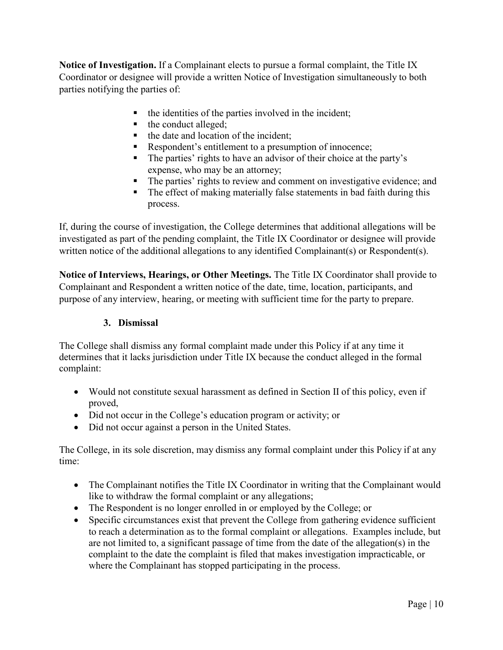**Notice of Investigation.** If a Complainant elects to pursue a formal complaint, the Title IX Coordinator or designee will provide a written Notice of Investigation simultaneously to both parties notifying the parties of:

- the identities of the parties involved in the incident;
- the conduct alleged;
- $\blacksquare$  the date and location of the incident;
- Respondent's entitlement to a presumption of innocence;
- The parties' rights to have an advisor of their choice at the party's expense, who may be an attorney;
- The parties' rights to review and comment on investigative evidence; and
- The effect of making materially false statements in bad faith during this process.

If, during the course of investigation, the College determines that additional allegations will be investigated as part of the pending complaint, the Title IX Coordinator or designee will provide written notice of the additional allegations to any identified Complainant(s) or Respondent(s).

**Notice of Interviews, Hearings, or Other Meetings.** The Title IX Coordinator shall provide to Complainant and Respondent a written notice of the date, time, location, participants, and purpose of any interview, hearing, or meeting with sufficient time for the party to prepare.

### **3. Dismissal**

The College shall dismiss any formal complaint made under this Policy if at any time it determines that it lacks jurisdiction under Title IX because the conduct alleged in the formal complaint:

- Would not constitute sexual harassment as defined in Section II of this policy, even if proved,
- Did not occur in the College's education program or activity; or
- Did not occur against a person in the United States.

The College, in its sole discretion, may dismiss any formal complaint under this Policy if at any time:

- The Complainant notifies the Title IX Coordinator in writing that the Complainant would like to withdraw the formal complaint or any allegations;
- The Respondent is no longer enrolled in or employed by the College; or
- Specific circumstances exist that prevent the College from gathering evidence sufficient to reach a determination as to the formal complaint or allegations. Examples include, but are not limited to, a significant passage of time from the date of the allegation(s) in the complaint to the date the complaint is filed that makes investigation impracticable, or where the Complainant has stopped participating in the process.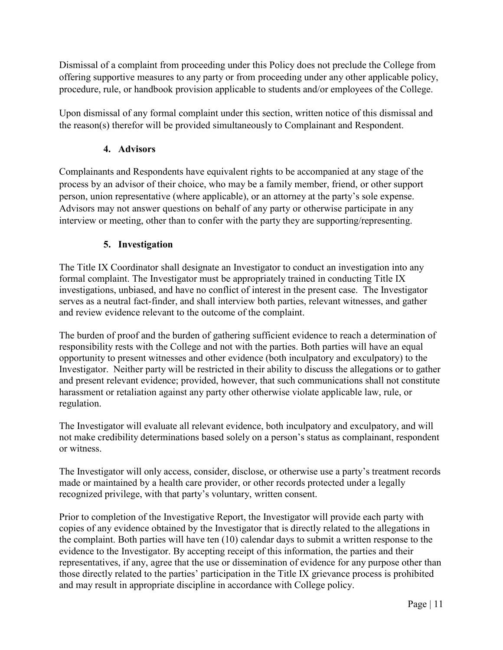Dismissal of a complaint from proceeding under this Policy does not preclude the College from offering supportive measures to any party or from proceeding under any other applicable policy, procedure, rule, or handbook provision applicable to students and/or employees of the College.

Upon dismissal of any formal complaint under this section, written notice of this dismissal and the reason(s) therefor will be provided simultaneously to Complainant and Respondent.

## **4. Advisors**

Complainants and Respondents have equivalent rights to be accompanied at any stage of the process by an advisor of their choice, who may be a family member, friend, or other support person, union representative (where applicable), or an attorney at the party's sole expense. Advisors may not answer questions on behalf of any party or otherwise participate in any interview or meeting, other than to confer with the party they are supporting/representing.

## **5. Investigation**

The Title IX Coordinator shall designate an Investigator to conduct an investigation into any formal complaint. The Investigator must be appropriately trained in conducting Title IX investigations, unbiased, and have no conflict of interest in the present case. The Investigator serves as a neutral fact-finder, and shall interview both parties, relevant witnesses, and gather and review evidence relevant to the outcome of the complaint.

The burden of proof and the burden of gathering sufficient evidence to reach a determination of responsibility rests with the College and not with the parties. Both parties will have an equal opportunity to present witnesses and other evidence (both inculpatory and exculpatory) to the Investigator. Neither party will be restricted in their ability to discuss the allegations or to gather and present relevant evidence; provided, however, that such communications shall not constitute harassment or retaliation against any party other otherwise violate applicable law, rule, or regulation.

The Investigator will evaluate all relevant evidence, both inculpatory and exculpatory, and will not make credibility determinations based solely on a person's status as complainant, respondent or witness.

The Investigator will only access, consider, disclose, or otherwise use a party's treatment records made or maintained by a health care provider, or other records protected under a legally recognized privilege, with that party's voluntary, written consent.

Prior to completion of the Investigative Report, the Investigator will provide each party with copies of any evidence obtained by the Investigator that is directly related to the allegations in the complaint. Both parties will have ten (10) calendar days to submit a written response to the evidence to the Investigator. By accepting receipt of this information, the parties and their representatives, if any, agree that the use or dissemination of evidence for any purpose other than those directly related to the parties' participation in the Title IX grievance process is prohibited and may result in appropriate discipline in accordance with College policy.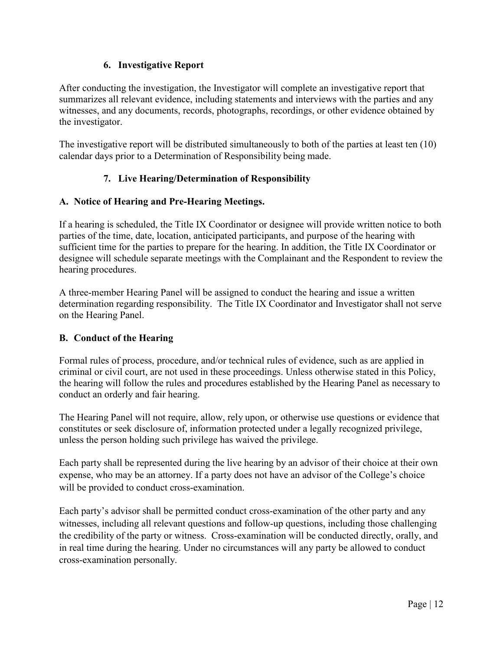### **6. Investigative Report**

After conducting the investigation, the Investigator will complete an investigative report that summarizes all relevant evidence, including statements and interviews with the parties and any witnesses, and any documents, records, photographs, recordings, or other evidence obtained by the investigator.

The investigative report will be distributed simultaneously to both of the parties at least ten (10) calendar days prior to a Determination of Responsibility being made.

### **7. Live Hearing/Determination of Responsibility**

### **A. Notice of Hearing and Pre-Hearing Meetings.**

If a hearing is scheduled, the Title IX Coordinator or designee will provide written notice to both parties of the time, date, location, anticipated participants, and purpose of the hearing with sufficient time for the parties to prepare for the hearing. In addition, the Title IX Coordinator or designee will schedule separate meetings with the Complainant and the Respondent to review the hearing procedures.

A three-member Hearing Panel will be assigned to conduct the hearing and issue a written determination regarding responsibility. The Title IX Coordinator and Investigator shall not serve on the Hearing Panel.

### **B. Conduct of the Hearing**

Formal rules of process, procedure, and/or technical rules of evidence, such as are applied in criminal or civil court, are not used in these proceedings. Unless otherwise stated in this Policy, the hearing will follow the rules and procedures established by the Hearing Panel as necessary to conduct an orderly and fair hearing.

The Hearing Panel will not require, allow, rely upon, or otherwise use questions or evidence that constitutes or seek disclosure of, information protected under a legally recognized privilege, unless the person holding such privilege has waived the privilege.

Each party shall be represented during the live hearing by an advisor of their choice at their own expense, who may be an attorney. If a party does not have an advisor of the College's choice will be provided to conduct cross-examination.

Each party's advisor shall be permitted conduct cross-examination of the other party and any witnesses, including all relevant questions and follow-up questions, including those challenging the credibility of the party or witness. Cross-examination will be conducted directly, orally, and in real time during the hearing. Under no circumstances will any party be allowed to conduct cross-examination personally.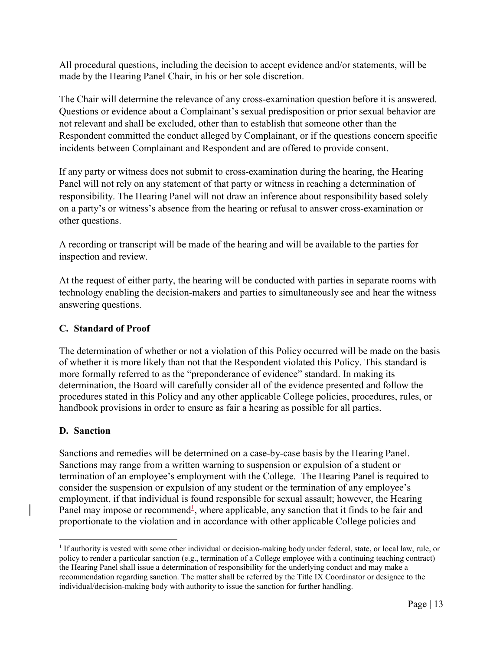All procedural questions, including the decision to accept evidence and/or statements, will be made by the Hearing Panel Chair, in his or her sole discretion.

The Chair will determine the relevance of any cross-examination question before it is answered. Questions or evidence about a Complainant's sexual predisposition or prior sexual behavior are not relevant and shall be excluded, other than to establish that someone other than the Respondent committed the conduct alleged by Complainant, or if the questions concern specific incidents between Complainant and Respondent and are offered to provide consent.

If any party or witness does not submit to cross-examination during the hearing, the Hearing Panel will not rely on any statement of that party or witness in reaching a determination of responsibility. The Hearing Panel will not draw an inference about responsibility based solely on a party's or witness's absence from the hearing or refusal to answer cross-examination or other questions.

A recording or transcript will be made of the hearing and will be available to the parties for inspection and review.

At the request of either party, the hearing will be conducted with parties in separate rooms with technology enabling the decision-makers and parties to simultaneously see and hear the witness answering questions.

### **C. Standard of Proof**

The determination of whether or not a violation of this Policy occurred will be made on the basis of whether it is more likely than not that the Respondent violated this Policy. This standard is more formally referred to as the "preponderance of evidence" standard. In making its determination, the Board will carefully consider all of the evidence presented and follow the procedures stated in this Policy and any other applicable College policies, procedures, rules, or handbook provisions in order to ensure as fair a hearing as possible for all parties.

### **D. Sanction**

Sanctions and remedies will be determined on a case-by-case basis by the Hearing Panel. Sanctions may range from a written warning to suspension or expulsion of a student or termination of an employee's employment with the College. The Hearing Panel is required to consider the suspension or expulsion of any student or the termination of any employee's employment, if that individual is found responsible for sexual assault; however, the Hearing Panel may impose or recommend<sup>1</sup>, where applicable, any sanction that it finds to be fair and proportionate to the violation and in accordance with other applicable College policies and

<sup>1</sup> If authority is vested with some other individual or decision-making body under federal, state, or local law, rule, or policy to render a particular sanction (e.g., termination of a College employee with a continuing teaching contract) the Hearing Panel shall issue a determination of responsibility for the underlying conduct and may make a recommendation regarding sanction. The matter shall be referred by the Title IX Coordinator or designee to the individual/decision-making body with authority to issue the sanction for further handling.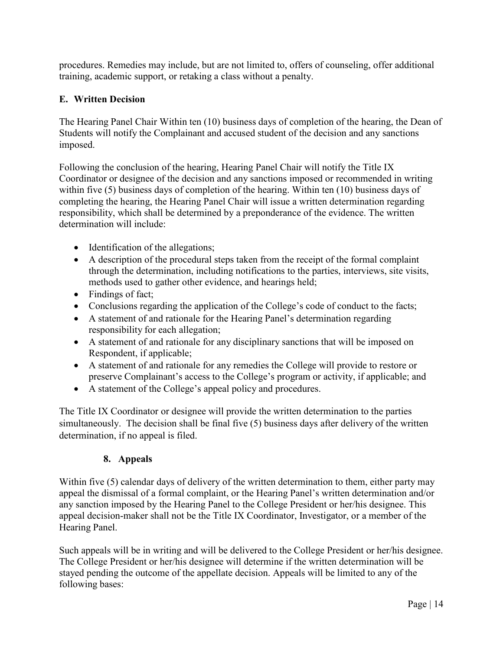procedures. Remedies may include, but are not limited to, offers of counseling, offer additional training, academic support, or retaking a class without a penalty.

### **E. Written Decision**

The Hearing Panel Chair Within ten (10) business days of completion of the hearing, the Dean of Students will notify the Complainant and accused student of the decision and any sanctions imposed.

Following the conclusion of the hearing, Hearing Panel Chair will notify the Title IX Coordinator or designee of the decision and any sanctions imposed or recommended in writing within five (5) business days of completion of the hearing. Within ten (10) business days of completing the hearing, the Hearing Panel Chair will issue a written determination regarding responsibility, which shall be determined by a preponderance of the evidence. The written determination will include:

- Identification of the allegations;
- A description of the procedural steps taken from the receipt of the formal complaint through the determination, including notifications to the parties, interviews, site visits, methods used to gather other evidence, and hearings held;
- Findings of fact;
- Conclusions regarding the application of the College's code of conduct to the facts;
- A statement of and rationale for the Hearing Panel's determination regarding responsibility for each allegation;
- A statement of and rationale for any disciplinary sanctions that will be imposed on Respondent, if applicable;
- A statement of and rationale for any remedies the College will provide to restore or preserve Complainant's access to the College's program or activity, if applicable; and
- A statement of the College's appeal policy and procedures.

The Title IX Coordinator or designee will provide the written determination to the parties simultaneously. The decision shall be final five (5) business days after delivery of the written determination, if no appeal is filed.

## **8. Appeals**

Within five (5) calendar days of delivery of the written determination to them, either party may appeal the dismissal of a formal complaint, or the Hearing Panel's written determination and/or any sanction imposed by the Hearing Panel to the College President or her/his designee. This appeal decision-maker shall not be the Title IX Coordinator, Investigator, or a member of the Hearing Panel.

Such appeals will be in writing and will be delivered to the College President or her/his designee. The College President or her/his designee will determine if the written determination will be stayed pending the outcome of the appellate decision. Appeals will be limited to any of the following bases: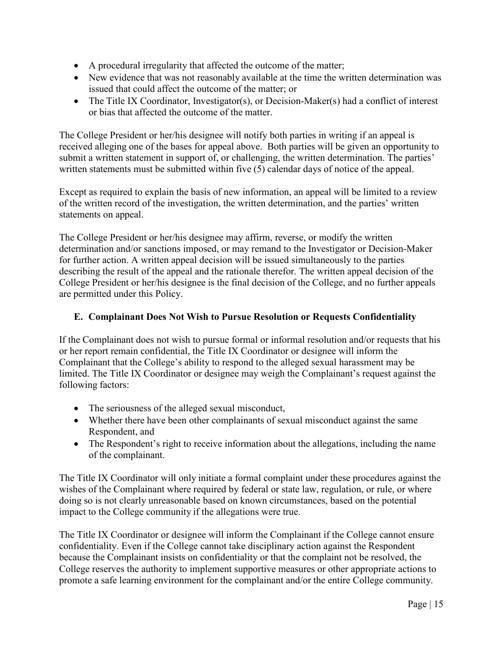- A procedural irregularity that affected the outcome of the matter;
- New evidence that was not reasonably available at the time the written determination was issued that could affect the outcome of the matter; or
- The Title IX Coordinator, Investigator(s), or Decision-Maker(s) had a conflict of interest or bias that affected the outcome of the matter.

The College President or her/his designee will notify both parties in writing if an appeal is received alleging one of the bases for appeal above. Both parties will be given an opportunity to submit a written statement in support of, or challenging, the written determination. The parties' written statements must be submitted within five (5) calendar days of notice of the appeal.

Except as required to explain the basis of new information, an appeal will be limited to a review of the written record of the investigation, the written determination, and the parties' written statements on appeal.

The College President or her/his designee may affirm, reverse, or modify the written determination and/or sanctions imposed, or may remand to the Investigator or Decision-Maker for further action. A written appeal decision will be issued simultaneously to the parties describing the result of the appeal and the rationale therefor. The written appeal decision of the College President or her/his designee is the final decision of the College, and no further appeals are permitted under this Policy.

### **E. Complainant Does Not Wish to Pursue Resolution or Requests Confidentiality**

<span id="page-14-0"></span>If the Complainant does not wish to pursue formal or informal resolution and/or requests that his or her report remain confidential, the Title IX Coordinator or designee will inform the Complainant that the College's ability to respond to the alleged sexual harassment may be limited. The Title IX Coordinator or designee may weigh the Complainant's request against the following factors:

- The seriousness of the alleged sexual misconduct,
- Whether there have been other complainants of sexual misconduct against the same Respondent, and
- The Respondent's right to receive information about the allegations, including the name of the complainant.

The Title IX Coordinator will only initiate a formal complaint under these procedures against the wishes of the Complainant where required by federal or state law, regulation, or rule, or where doing so is not clearly unreasonable based on known circumstances, based on the potential impact to the College community if the allegations were true.

The Title IX Coordinator or designee will inform the Complainant if the College cannot ensure confidentiality. Even if the College cannot take disciplinary action against the Respondent because the Complainant insists on confidentiality or that the complaint not be resolved, the College reserves the authority to implement supportive measures or other appropriate actions to promote a safe learning environment for the complainant and/or the entire College community.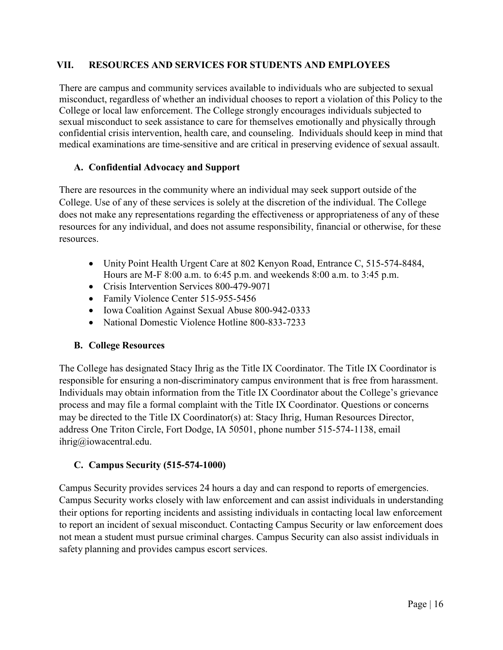#### <span id="page-15-0"></span>**VII. RESOURCES AND SERVICES FOR STUDENTS AND EMPLOYEES**

There are campus and community services available to individuals who are subjected to sexual misconduct, regardless of whether an individual chooses to report a violation of this Policy to the College or local law enforcement. The College strongly encourages individuals subjected to sexual misconduct to seek assistance to care for themselves emotionally and physically through confidential crisis intervention, health care, and counseling. Individuals should keep in mind that medical examinations are time-sensitive and are critical in preserving evidence of sexual assault.

#### **A. Confidential Advocacy and Support**

There are resources in the community where an individual may seek support outside of the College. Use of any of these services is solely at the discretion of the individual. The College does not make any representations regarding the effectiveness or appropriateness of any of these resources for any individual, and does not assume responsibility, financial or otherwise, for these resources.

- Unity Point Health Urgent Care at 802 Kenyon Road, Entrance C, 515-574-8484, Hours are M-F 8:00 a.m. to 6:45 p.m. and weekends 8:00 a.m. to 3:45 p.m.
- Crisis Intervention Services 800-479-9071
- Family Violence Center 515-955-5456
- Iowa Coalition Against Sexual Abuse 800-942-0333
- National Domestic Violence Hotline 800-833-7233

### **B. College Resources**

The College has designated Stacy Ihrig as the Title IX Coordinator. The Title IX Coordinator is responsible for ensuring a non-discriminatory campus environment that is free from harassment. Individuals may obtain information from the Title IX Coordinator about the College's grievance process and may file a formal complaint with the Title IX Coordinator. Questions or concerns may be directed to the Title IX Coordinator(s) at: Stacy Ihrig, Human Resources Director, address One Triton Circle, Fort Dodge, IA 50501, phone number 515-574-1138, email [ihrig@iowacentral.edu.](mailto:ihrig@iowacentral.edu)

## **C. Campus Security (515-574-1000)**

Campus Security provides services 24 hours a day and can respond to reports of emergencies. Campus Security works closely with law enforcement and can assist individuals in understanding their options for reporting incidents and assisting individuals in contacting local law enforcement to report an incident of sexual misconduct. Contacting Campus Security or law enforcement does not mean a student must pursue criminal charges. Campus Security can also assist individuals in safety planning and provides campus escort services.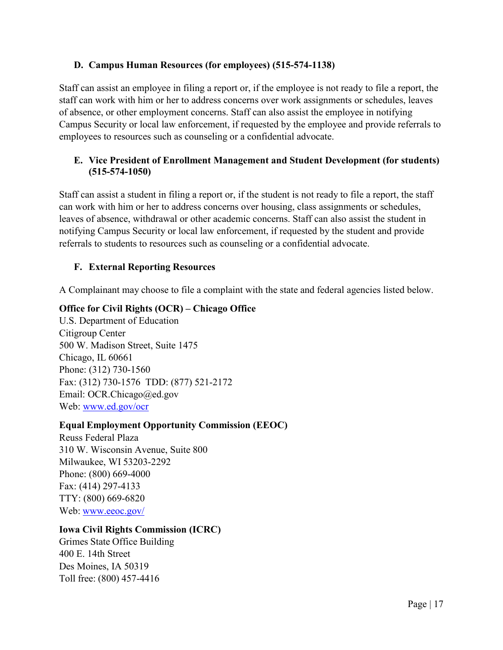### **D. Campus Human Resources (for employees) (515-574-1138)**

Staff can assist an employee in filing a report or, if the employee is not ready to file a report, the staff can work with him or her to address concerns over work assignments or schedules, leaves of absence, or other employment concerns. Staff can also assist the employee in notifying Campus Security or local law enforcement, if requested by the employee and provide referrals to employees to resources such as counseling or a confidential advocate.

### **E. Vice President of Enrollment Management and Student Development (for students) (515-574-1050)**

Staff can assist a student in filing a report or, if the student is not ready to file a report, the staff can work with him or her to address concerns over housing, class assignments or schedules, leaves of absence, withdrawal or other academic concerns. Staff can also assist the student in notifying Campus Security or local law enforcement, if requested by the student and provide referrals to students to resources such as counseling or a confidential advocate.

## **F. External Reporting Resources**

A Complainant may choose to file a complaint with the state and federal agencies listed below.

### **Office for Civil Rights (OCR) – Chicago Office**

U.S. Department of Education Citigroup Center 500 W. Madison Street, Suite 1475 Chicago, IL 60661 Phone: (312) 730-1560 Fax: (312) 730-1576 TDD: (877) 521-2172 Email: [OCR.Chicago@ed.gov](mailto:OCR.Chicago@ed.gov) Web: [www.ed.gov/ocr](http://www.ed.gov/ocr)

### **Equal Employment Opportunity Commission (EEOC)**

Reuss Federal Plaza 310 W. Wisconsin Avenue, Suite 800 Milwaukee, WI 53203-2292 Phone: (800) 669-4000 Fax: (414) 297-4133 TTY: (800) 669-6820 Web: [www.eeoc.gov/](http://www.eeoc.gov/)

### **Iowa Civil Rights Commission (ICRC)**

Grimes State Office Building 400 E. 14th Street Des Moines, IA 50319 Toll free: (800) 457-4416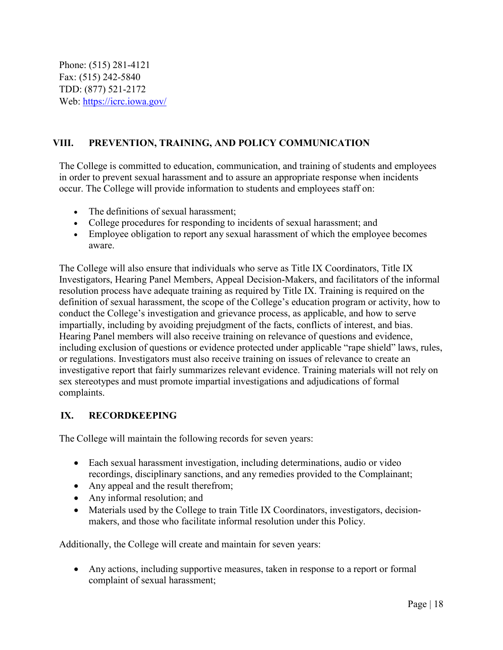Phone: (515) 281-4121 Fax: (515) 242-5840 TDD: (877) 521-2172 Web: [https://icrc.iowa.gov/](http://icrc.iowa.gov/)

### <span id="page-17-0"></span>**VIII. PREVENTION, TRAINING, AND POLICY COMMUNICATION**

The College is committed to education, communication, and training of students and employees in order to prevent sexual harassment and to assure an appropriate response when incidents occur. The College will provide information to students and employees staff on:

- The definitions of sexual harassment;
- College procedures for responding to incidents of sexual harassment; and
- Employee obligation to report any sexual harassment of which the employee becomes aware.

The College will also ensure that individuals who serve as Title IX Coordinators, Title IX Investigators, Hearing Panel Members, Appeal Decision-Makers, and facilitators of the informal resolution process have adequate training as required by Title IX. Training is required on the definition of sexual harassment, the scope of the College's education program or activity, how to conduct the College's investigation and grievance process, as applicable, and how to serve impartially, including by avoiding prejudgment of the facts, conflicts of interest, and bias. Hearing Panel members will also receive training on relevance of questions and evidence, including exclusion of questions or evidence protected under applicable "rape shield" laws, rules, or regulations. Investigators must also receive training on issues of relevance to create an investigative report that fairly summarizes relevant evidence. Training materials will not rely on sex stereotypes and must promote impartial investigations and adjudications of formal complaints.

### <span id="page-17-1"></span>**IX. RECORDKEEPING**

The College will maintain the following records for seven years:

- Each sexual harassment investigation, including determinations, audio or video recordings, disciplinary sanctions, and any remedies provided to the Complainant;
- Any appeal and the result therefrom;
- Any informal resolution; and
- Materials used by the College to train Title IX Coordinators, investigators, decisionmakers, and those who facilitate informal resolution under this Policy.

Additionally, the College will create and maintain for seven years:

• Any actions, including supportive measures, taken in response to a report or formal complaint of sexual harassment;